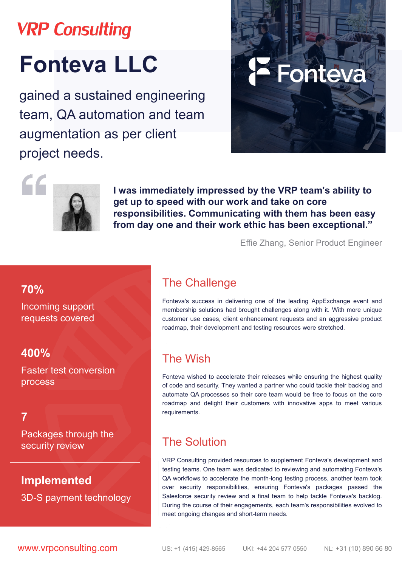## **VRP Consulting**

# **Fonteva LLC**

**70%**

Incoming support requests covered

### **400%**

Faster test conversion process

Packages through the security review

gained a sustained engineering team, QA automation and team augmentation as per client project needs.





**I was immediately impressed by the VRP team's ability to get up to speed with our work and take on core responsibilities. Communicating with them has been easy from day one and their work ethic has been exceptional."** 

Effie Zhang, Senior Product Engineer

### The Сhallenge

Fonteva's success in delivering one of the leading AppExchange event and membership solutions had brought challenges along with it. With more unique customer use cases, client enhancement requests and an aggressive product roadmap, their development and testing resources were stretched.

### The Wish

Fonteva wished to accelerate their releases while ensuring the highest quality of code and security. They wanted a partner who could tackle their backlog and automate QA processes so their core team would be free to focus on the core roadmap and delight their customers with innovative apps to meet various requirements.

#### The Solution

VRP Consulting provided resources to supplement Fonteva's development and testing teams. One team was dedicated to reviewing and automating Fonteva's QA workflows to accelerate the month-long testing process, another team took over security responsibilities, ensuring Fonteva's packages passed the Salesforce security review and a final team to help tackle Fonteva's backlog. During the course of their engagements, each team's responsibilities evolved to meet ongoing changes and short-term needs.

**WWW.Vrpconsulting.com** US: +1 (415) 429-8565 UKI: +44 204 577 0550 NL: +31 (10) 890 66 80

### **Implemented** 3D-S payment technology